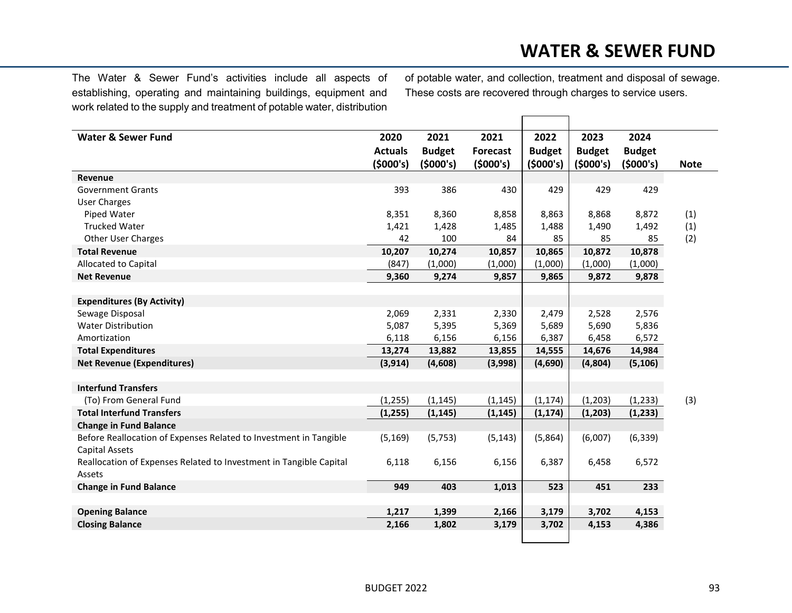## **WATER & SEWER FUND**

The Water & Sewer Fund's activities include all aspects of establishing, operating and maintaining buildings, equipment and work related to the supply and treatment of potable water, distribution of potable water, and collection, treatment and disposal of sewage. These costs are recovered through charges to service users.

| Water & Sewer Fund                                                 | 2020           | 2021          | 2021            | 2022          | 2023          | 2024          |             |
|--------------------------------------------------------------------|----------------|---------------|-----------------|---------------|---------------|---------------|-------------|
|                                                                    | <b>Actuals</b> | <b>Budget</b> | <b>Forecast</b> | <b>Budget</b> | <b>Budget</b> | <b>Budget</b> |             |
|                                                                    | (5000's)       | (5000's)      | (5000's)        | (5000's)      | (5000's)      | (5000's)      | <b>Note</b> |
| Revenue                                                            |                |               |                 |               |               |               |             |
| <b>Government Grants</b>                                           | 393            | 386           | 430             | 429           | 429           | 429           |             |
| <b>User Charges</b>                                                |                |               |                 |               |               |               |             |
| Piped Water                                                        | 8,351          | 8,360         | 8,858           | 8,863         | 8,868         | 8,872         | (1)         |
| <b>Trucked Water</b>                                               | 1,421          | 1,428         | 1,485           | 1,488         | 1,490         | 1,492         | (1)         |
| <b>Other User Charges</b>                                          | 42             | 100           | 84              | 85            | 85            | 85            | (2)         |
| <b>Total Revenue</b>                                               | 10,207         | 10,274        | 10,857          | 10,865        | 10,872        | 10,878        |             |
| Allocated to Capital                                               | (847)          | (1,000)       | (1,000)         | (1,000)       | (1,000)       | (1,000)       |             |
| <b>Net Revenue</b>                                                 | 9,360          | 9,274         | 9,857           | 9,865         | 9,872         | 9,878         |             |
|                                                                    |                |               |                 |               |               |               |             |
| <b>Expenditures (By Activity)</b>                                  |                |               |                 |               |               |               |             |
| Sewage Disposal                                                    | 2,069          | 2,331         | 2,330           | 2,479         | 2,528         | 2,576         |             |
| <b>Water Distribution</b>                                          | 5,087          | 5,395         | 5,369           | 5,689         | 5,690         | 5,836         |             |
| Amortization                                                       | 6,118          | 6,156         | 6,156           | 6,387         | 6,458         | 6,572         |             |
| <b>Total Expenditures</b>                                          | 13,274         | 13,882        | 13,855          | 14,555        | 14,676        | 14,984        |             |
| <b>Net Revenue (Expenditures)</b>                                  | (3, 914)       | (4,608)       | (3,998)         | (4,690)       | (4,804)       | (5, 106)      |             |
|                                                                    |                |               |                 |               |               |               |             |
| <b>Interfund Transfers</b>                                         |                |               |                 |               |               |               |             |
| (To) From General Fund                                             | (1, 255)       | (1, 145)      | (1, 145)        | (1, 174)      | (1,203)       | (1, 233)      | (3)         |
| <b>Total Interfund Transfers</b>                                   | (1, 255)       | (1, 145)      | (1, 145)        | (1, 174)      | (1,203)       | (1,233)       |             |
| <b>Change in Fund Balance</b>                                      |                |               |                 |               |               |               |             |
| Before Reallocation of Expenses Related to Investment in Tangible  | (5, 169)       | (5, 753)      | (5, 143)        | (5,864)       | (6,007)       | (6, 339)      |             |
| <b>Capital Assets</b>                                              |                |               |                 |               |               |               |             |
| Reallocation of Expenses Related to Investment in Tangible Capital | 6,118          | 6,156         | 6,156           | 6,387         | 6,458         | 6,572         |             |
| Assets                                                             |                |               |                 |               |               |               |             |
| <b>Change in Fund Balance</b>                                      | 949            | 403           | 1,013           | 523           | 451           | 233           |             |
|                                                                    |                |               |                 |               |               |               |             |
| <b>Opening Balance</b>                                             | 1,217          | 1,399         | 2,166           | 3,179         | 3,702         | 4,153         |             |
| <b>Closing Balance</b>                                             | 2,166          | 1,802         | 3,179           | 3,702         | 4,153         | 4,386         |             |
|                                                                    |                |               |                 |               |               |               |             |